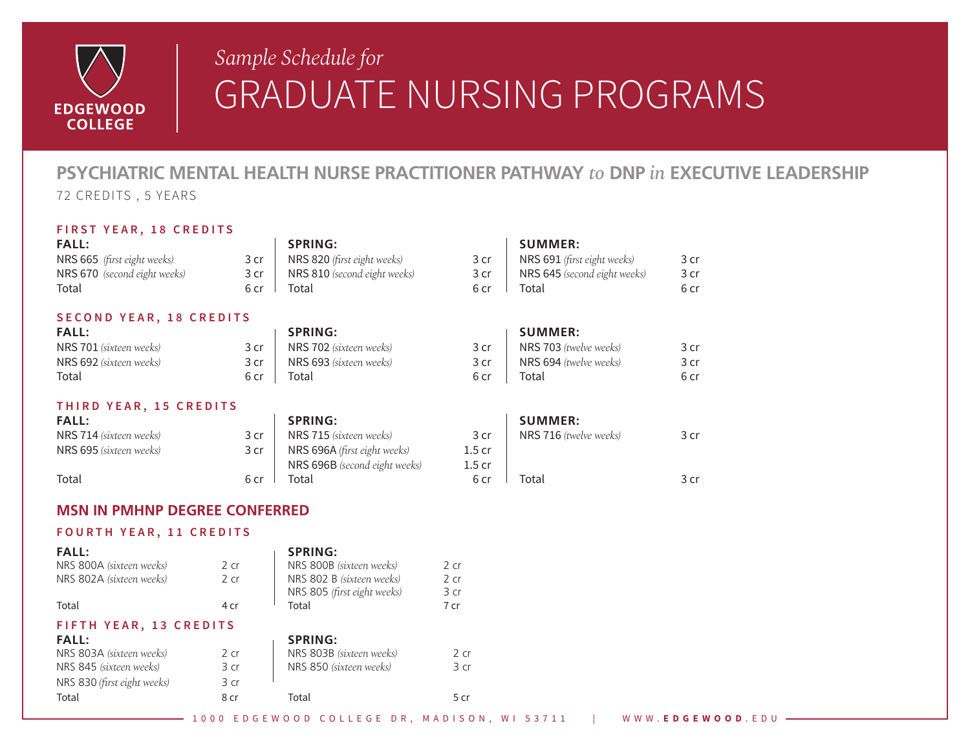

## *Sample Schedule for Sample Schedule for*GRADUATE NURSING PROGRAMS

## **PSYCHIATRIC MENTAL HEALTH NURSE PRACTITIONER PATHWAY** *to* **DNP** *in* **EXECUTIVE LEADERSHIP** 72 CREDITS , 5 YEARS

### **FIRST YEAR, 18 CREDITS**

| <b>FALL:</b>                   |      | <b>SPRING:</b>               |      | <b>SUMMER:</b>                |      |
|--------------------------------|------|------------------------------|------|-------------------------------|------|
| NRS 665 (first eight weeks)    | 3 cr | NRS 820 (first eight weeks)  | 3 cr | NRS 691 (first eight weeks)   | 3 cr |
| NRS 670 (second eight weeks)   | 3 cr | NRS 810 (second eight weeks) | 3 cr | NRS 645 (second eight weeks)  | 3 cr |
| Total                          | 6 cr | Total                        | 6 cr | Total                         | 6 cr |
| SECOND YEAR, 18 CREDITS        |      |                              |      |                               |      |
| <b>FALL:</b>                   |      | <b>SPRING:</b>               |      | <b>SUMMER:</b>                |      |
| <b>NRS 701</b> (sixteen weeks) | 3 cr | NRS 702 (sixteen weeks)      | 3 cr | <b>NRS 703</b> (twelve weeks) | 3 cr |
| NRS 692 (sixteen weeks)        | 3 cr | NRS 693 (sixteen weeks)      | 3 cr | NRS 694 (twelve weeks)        | 3 cr |
| Total                          | 6 cr | Total                        | 6 cr | Total                         | 6 cr |
| THIRD YEAR, 15 CREDITS         |      |                              |      |                               |      |

| <b>FALL:</b>            |      | <b>SPRING:</b>                      |        | <b>SUMMER:</b>                |      |
|-------------------------|------|-------------------------------------|--------|-------------------------------|------|
| NRS 714 (sixteen weeks) | 3 cr | <b>NRS 715</b> (sixteen weeks)      | 3 cr   | <b>NRS 716</b> (twelve weeks) | 3 cr |
| NRS 695 (sixteen weeks) | 3 cr | <b>NRS 696A</b> (first eight weeks) | 1.5 cr |                               |      |
|                         |      | NRS 696B (second eight weeks)       | 1.5 cr |                               |      |
| Total                   | 6 cr | Total                               | 6 cr   | Total                         | 3 cr |

### **MSN IN PMHNP DEGREE CONFERRED**

### **FOURTH YEAR, 11 CREDITS**

| <b>FALL:</b>                                        |                 | <b>SPRING:</b>              |        |
|-----------------------------------------------------|-----------------|-----------------------------|--------|
| NRS 800A (sixteen weeks)                            | 2cr             | NRS 800B (sixteen weeks)    | $2$ cr |
| NRS 802A (sixteen weeks)                            | 2 <sub>cr</sub> | NRS 802 B (sixteen weeks)   | $2$ cr |
|                                                     |                 | NRS 805 (first eight weeks) | 3 cr   |
| Total                                               | 4 cr            | Total                       | 7 cr   |
| FIFTH YEAR, 13 CREDITS                              |                 |                             |        |
|                                                     |                 |                             |        |
| <b>FALL:</b>                                        |                 | <b>SPRING:</b>              |        |
|                                                     | 2 <sub>cr</sub> | NRS 803B (sixteen weeks)    | 2 cr   |
| NRS 803A (sixteen weeks)<br>NRS 845 (sixteen weeks) | 3 cr            | NRS 850 (sixteen weeks)     | 3 cr   |
| NRS 830 (first eight weeks)                         | 3 cr            |                             |        |

1000 EDGEWOOD COLLEGE DR, MADISON, WI 53711 | WWW. **EDGEWOOD** .EDU